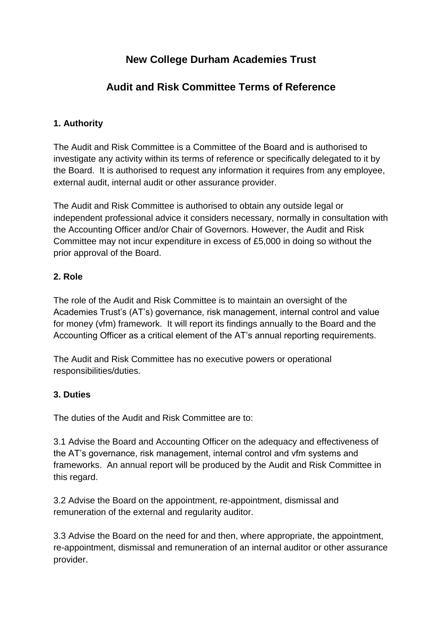# **New College Durham Academies Trust**

## **Audit and Risk Committee Terms of Reference**

### **1. Authority**

The Audit and Risk Committee is a Committee of the Board and is authorised to investigate any activity within its terms of reference or specifically delegated to it by the Board. It is authorised to request any information it requires from any employee, external audit, internal audit or other assurance provider.

The Audit and Risk Committee is authorised to obtain any outside legal or independent professional advice it considers necessary, normally in consultation with the Accounting Officer and/or Chair of Governors. However, the Audit and Risk Committee may not incur expenditure in excess of £5,000 in doing so without the prior approval of the Board.

#### **2. Role**

The role of the Audit and Risk Committee is to maintain an oversight of the Academies Trust's (AT's) governance, risk management, internal control and value for money (vfm) framework. It will report its findings annually to the Board and the Accounting Officer as a critical element of the AT's annual reporting requirements.

The Audit and Risk Committee has no executive powers or operational responsibilities/duties.

#### **3. Duties**

The duties of the Audit and Risk Committee are to:

3.1 Advise the Board and Accounting Officer on the adequacy and effectiveness of the AT's governance, risk management, internal control and vfm systems and frameworks. An annual report will be produced by the Audit and Risk Committee in this regard.

3.2 Advise the Board on the appointment, re-appointment, dismissal and remuneration of the external and regularity auditor.

3.3 Advise the Board on the need for and then, where appropriate, the appointment, re-appointment, dismissal and remuneration of an internal auditor or other assurance provider.